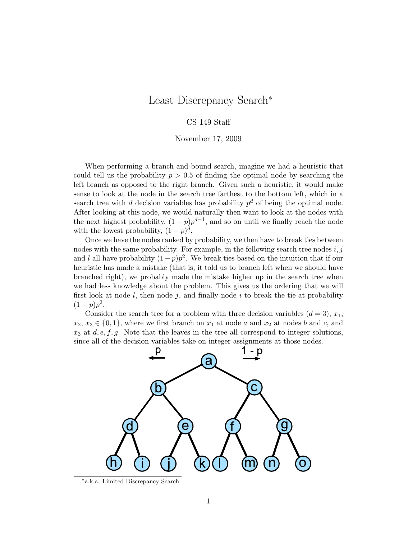## Least Discrepancy Search<sup>∗</sup>

## CS 149 Staff

November 17, 2009

When performing a branch and bound search, imagine we had a heuristic that could tell us the probability  $p > 0.5$  of finding the optimal node by searching the left branch as opposed to the right branch. Given such a heuristic, it would make sense to look at the node in the search tree farthest to the bottom left, which in a search tree with d decision variables has probability  $p^d$  of being the optimal node. After looking at this node, we would naturally then want to look at the nodes with the next highest probability,  $(1-p)p^{d-1}$ , and so on until we finally reach the node with the lowest probability,  $(1-p)^d$ .

Once we have the nodes ranked by probability, we then have to break ties between nodes with the same probability. For example, in the following search tree nodes  $i, j$ and l all have probability  $(1-p)p^2$ . We break ties based on the intuition that if our heuristic has made a mistake (that is, it told us to branch left when we should have branched right), we probably made the mistake higher up in the search tree when we had less knowledge about the problem. This gives us the ordering that we will first look at node  $l$ , then node  $j$ , and finally node  $i$  to break the tie at probability  $(1-p)p^2$ .

Consider the search tree for a problem with three decision variables  $(d = 3)$ ,  $x_1$ ,  $x_2, x_3 \in \{0, 1\}$ , where we first branch on  $x_1$  at node a and  $x_2$  at nodes b and c, and  $x_3$  at  $d, e, f, g$ . Note that the leaves in the tree all correspond to integer solutions, since all of the decision variables take on integer assignments at those nodes.



∗ a.k.a. Limited Discrepancy Search